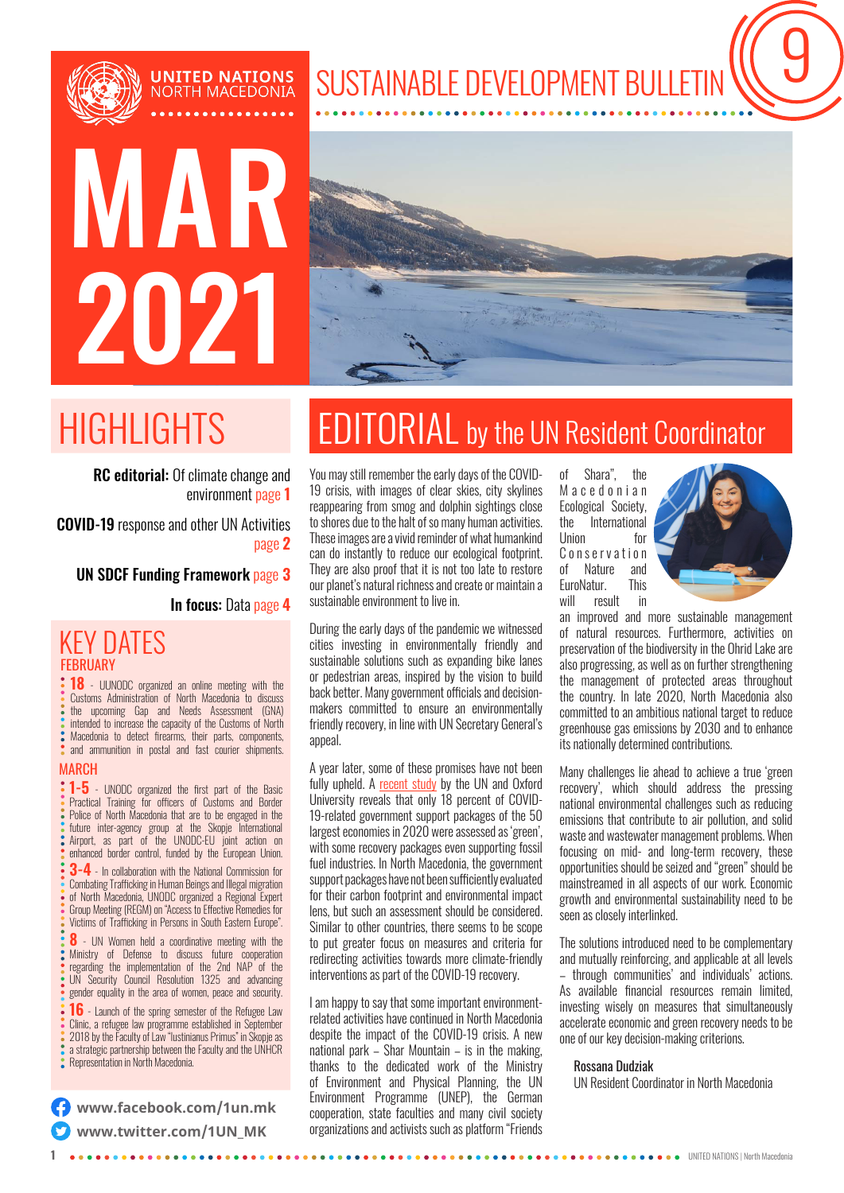

# MAR 2021

**UNITED NATIONS**<br>NORTH MACEDONIA



SUSTAINABLE DEVELOPMENT BULLETIN

RC editorial: Of climate change and environment page **1**

COVID-19 response and other UN Activities page **2**

UN SDCF Funding Framework page **3**

In focus: Data page **4** 

### KEY DATES **FEBRUARY**

**18** - UUNODC organized an online meeting with the Customs Administration of North Macedonia to discuss the upcoming Gap and Needs Assessment (GNA) intended to increase the capacity of the Customs of North Macedonia to detect firearms, their parts, components, and ammunition in postal and fast courier shipments.

#### **MARCH**

**1-5** - UNODC organized the first part of the Basic Practical Training for officers of Customs and Border Police of North Macedonia that are to be engaged in the<br>
Police of North Macedonia that are to be engaged in the<br>
future inter-2000% group at the Skopie International future inter-agency group at the Skopje International Airport, as part of the UNODC-EU joint action on enhanced border control, funded by the European Union.

**3-4** - In collaboration with the National Commission for Combating Trafficking in Human Beings and Illegal migration of North Macedonia, UNODC organized a Regional Expert Group Meeting (REGM) on "Access to Effective Remedies for Victims of Trafficking in Persons in South Eastern Europe".

**8** - UN Women held a coordinative meeting with the Ministry of Defense to discuss future cooperation regarding the implementation of the 2nd NAP of the UN Security Council Resolution 1325 and advancing gender equality in the area of women, peace and security.

**16** - Launch of the spring semester of the Refugee Law Clinic, a refugee law programme established in September 2018 by the Faculty of Law "Iustinianus Primus" in Skopje as a strategic partnership between the Faculty and the UNHCR Representation in North Macedonia.

**[www.facebook.com/1un.mk](http://www.facebook.com/1un.mk) [www.twitter.com/1UN\\_MK](http://www.twitter.com/1UN_MK)**

## HIGHLIGHTS EDITORIAL by the UN Resident Coordinator

You may still remember the early days of the COVID-19 crisis, with images of clear skies, city skylines reappearing from smog and dolphin sightings close to shores due to the halt of so many human activities. These images are a vivid reminder of what humankind can do instantly to reduce our ecological footprint. They are also proof that it is not too late to restore our planet's natural richness and create or maintain a sustainable environment to live in.

During the early days of the pandemic we witnessed cities investing in environmentally friendly and sustainable solutions such as expanding bike lanes or pedestrian areas, inspired by the vision to build back better. Many government officials and decisionmakers committed to ensure an environmentally friendly recovery, in line with UN Secretary General's appeal.

A year later, some of these promises have not been fully upheld. A [recent study](https://news.un.org/en/story/2021/03/1086852) by the UN and Oxford University reveals that only 18 percent of COVID-19-related government support packages of the 50 largest economies in 2020 were assessed as 'green', with some recovery packages even supporting fossil fuel industries. In North Macedonia, the government support packages have not been sufficiently evaluated for their carbon footprint and environmental impact lens, but such an assessment should be considered. Similar to other countries, there seems to be scope to put greater focus on measures and criteria for redirecting activities towards more climate-friendly interventions as part of the COVID-19 recovery.

I am happy to say that some important environmentrelated activities have continued in North Macedonia despite the impact of the COVID-19 crisis. A new national park – Shar Mountain – is in the making, thanks to the dedicated work of the Ministry of Environment and Physical Planning, the UN Environment Programme (UNEP), the German cooperation, state faculties and many civil society organizations and activists such as platform "Friends of Shara", the M a c e d o n i a n Ecological Society, the International Union for C o n s e r v a t i o n of Nature and EuroNatur. This will result in



an improved and more sustainable management of natural resources. Furthermore, activities on preservation of the biodiversity in the Ohrid Lake are also progressing, as well as on further strengthening the management of protected areas throughout the country. In late 2020, North Macedonia also committed to an ambitious national target to reduce greenhouse gas emissions by 2030 and to enhance its nationally determined contributions.

Many challenges lie ahead to achieve a true 'green recovery', which should address the pressing national environmental challenges such as reducing emissions that contribute to air pollution, and solid waste and wastewater management problems. When focusing on mid- and long-term recovery, these opportunities should be seized and "green" should be mainstreamed in all aspects of our work. Economic growth and environmental sustainability need to be seen as closely interlinked.

The solutions introduced need to be complementary and mutually reinforcing, and applicable at all levels – through communities' and individuals' actions. As available financial resources remain limited, investing wisely on measures that simultaneously accelerate economic and green recovery needs to be one of our key decision-making criterions.

#### Rossana Dudziak

UN Resident Coordinator in North Macedonia

**1** UNITED NATIONS | North Macedonia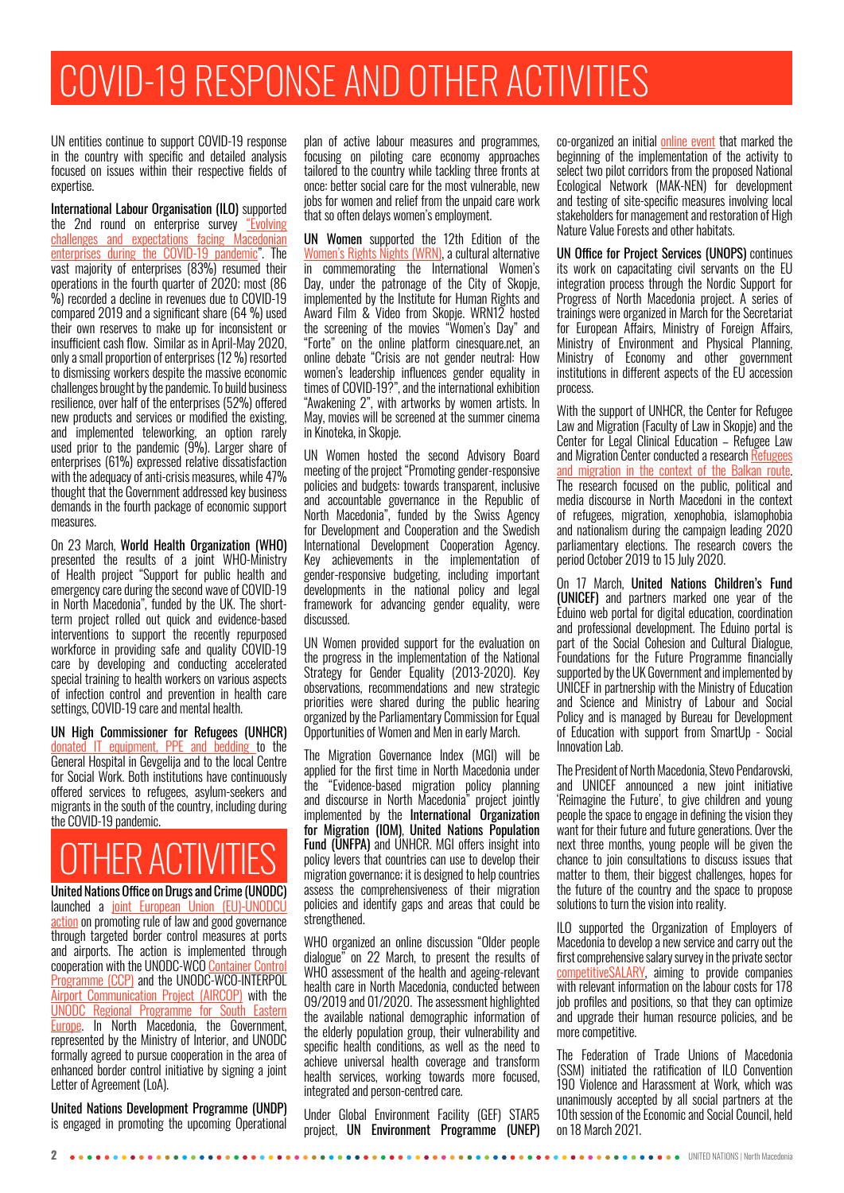## COVID-19 RESPONSE AND OTHER ACTIVITIES

UN entities continue to support COVID-19 response in the country with specific and detailed analysis focused on issues within their respective fields of expertise.

International Labour Organisation (ILO) supported the 2nd round on enterprise survey ["Evolving](https://socijalendijalog.mk/wp-content/uploads/2021/03/Covid-19_report-second_edition_EN.pdf) [challenges and expectations facing Macedonian](https://socijalendijalog.mk/wp-content/uploads/2021/03/Covid-19_report-second_edition_EN.pdf) [enterprises during the COVID-19 pandemic"](https://socijalendijalog.mk/wp-content/uploads/2021/03/Covid-19_report-second_edition_EN.pdf). The vast majority of enterprises (83%) resumed their operations in the fourth quarter of 2020; most (86 %) recorded a decline in revenues due to COVID-19 compared 2019 and a significant share (64 %) used their own reserves to make up for inconsistent or insufficient cash flow. Similar as in April-May 2020, only a small proportion of enterprises (12 %) resorted to dismissing workers despite the massive economic challenges brought by the pandemic. To build business resilience, over half of the enterprises (52%) offered new products and services or modified the existing, and implemented teleworking, an option rarely used prior to the pandemic (9%). Larger share of enterprises (61%) expressed relative dissatisfaction with the adequacy of anti-crisis measures, while 47% thought that the Government addressed key business demands in the fourth package of economic support measures.

On 23 March, World Health Organization (WHO) presented the results of a joint WHO-Ministry of Health project "Support for public health and emergency care during the second wave of COVID-19 in North Macedonia", funded by the UK. The shortterm project rolled out quick and evidence-based interventions to support the recently repurposed workforce in providing safe and quality COVID-19 care by developing and conducting accelerated special training to health workers on various aspects of infection control and prevention in health care settings, COVID-19 care and mental health.

UN High Commissioner for Refugees (UNHCR) [donated IT equipment, PPE and bedding t](https://www.facebook.com/UNHCRSkopje1/photos/a.330507380360679/3675737555837628/?type=3&theater)o the General Hospital in Gevgelija and to the local Centre for Social Work. Both institutions have continuously offered services to refugees, asylum-seekers and migrants in the south of the country, including during the COVID-19 pandemic.

## **THER ACTIVITIES**

United Nations Office on Drugs and Crime (UNODC) launched a [joint European Union \(EU\)-UNODCU](https://www.unodc.org/southeasterneurope/en/border-control-action-resources.html) [action](https://www.unodc.org/southeasterneurope/en/border-control-action-resources.html) on promoting rule of law and good governance through targeted border control measures at ports and airports. The action is implemented through cooperation with the UNODC-WCO [Container Control](https://www.unodc.org/unodc/en/ccp/index.html) [Programme \(CCP\)](https://www.unodc.org/unodc/en/ccp/index.html) and the UNODC-WCO-INTERPOL [Airport Communication Project \(AIRCOP\)](https://www.unodc.org/unodc/en/organized-crime/AIRCOP/1-aircop-home.html) with the [UNODC Regional Programme for South Eastern](https://www.unodc.org/documents/southeasterneurope/UNODC_SEE_RP_27-11-2019_final.pdf) [Europe](https://www.unodc.org/documents/southeasterneurope/UNODC_SEE_RP_27-11-2019_final.pdf). In North Macedonia, the Government, represented by the Ministry of Interior, and UNODC formally agreed to pursue cooperation in the area of enhanced border control initiative by signing a joint Letter of Agreement (LoA).

United Nations Development Programme (UNDP) is engaged in promoting the upcoming Operational plan of active labour measures and programmes, focusing on piloting care economy approaches tailored to the country while tackling three fronts at once: better social care for the most vulnerable, new jobs for women and relief from the unpaid care work that so often delays women's employment.

UN Women supported the 12th Edition of the [Women's Rights Nights \(WRN\),](https://www.womensrightsnights.net/ ) a cultural alternative in commemorating the International Women's Day, under the patronage of the City of Skopje, implemented by the Institute for Human Rights and Award Film & Video from Skopje. WRN12 hosted the screening of the movies "Women's Day" and "Forte" on the online platform cinesquare.net, an online debate "Crisis are not gender neutral: How women's leadership influences gender equality in times of COVID-19?", and the international exhibition "Awakening 2", with artworks by women artists. In May, movies will be screened at the summer cinema in Kinoteka, in Skopje.

UN Women hosted the second Advisory Board meeting of the project "Promoting gender-responsive policies and budgets: towards transparent, inclusive and accountable governance in the Republic of North Macedonia", funded by the Swiss Agency for Development and Cooperation and the Swedish International Development Cooperation Agency. Key achievements in the implementation of gender-responsive budgeting, including important developments in the national policy and legal framework for advancing gender equality, were discussed.

UN Women provided support for the evaluation on the progress in the implementation of the National Strategy for Gender Equality (2013-2020). Key observations, recommendations and new strategic priorities were shared during the public hearing organized by the Parliamentary Commission for Equal Opportunities of Women and Men in early March.

The Migration Governance Index (MGI) will be applied for the first time in North Macedonia under the "Evidence-based migration policy planning and discourse in North Macedonia" project jointly implemented by the International Organization for Migration (IOM), United Nations Population Fund (UNFPA) and UNHCR. MGI offers insight into policy levers that countries can use to develop their migration governance; it is designed to help countries assess the comprehensiveness of their migration policies and identify gaps and areas that could be .<br>strengthened.

WHO organized an online discussion "Older people dialogue" on 22 March, to present the results of WHO assessment of the health and ageing-relevant health care in North Macedonia, conducted between 09/2019 and 01/2020. The assessment highlighted the available national demographic information of the elderly population group, their vulnerability and specific health conditions, as well as the need to achieve universal health coverage and transform health services, working towards more focused, integrated and person-centred care.

Under Global Environment Facility (GEF) STAR5 project, UN Environment Programme (UNEP) co-organized an initial **online event** that marked the beginning of the implementation of the activity to select two pilot corridors from the proposed National Ecological Network (MAK-NEN) for development and testing of site-specific measures involving local stakeholders for management and restoration of High Nature Value Forests and other habitats.

UN Office for Project Services (UNOPS) continues its work on capacitating civil servants on the EU integration process through the Nordic Support for Progress of North Macedonia project. A series of trainings were organized in March for the Secretariat for European Affairs, Ministry of Foreign Affairs, Ministry of Environment and Physical Planning, Ministry of Economy and other government institutions in different aspects of the EU accession process.

With the support of UNHCR, the Center for Refugee Law and Migration (Faculty of Law in Skopje) and the Center for Legal Clinical Education – Refugee Law and Migration Center conducted a research [Refugees](https://eur02.safelinks.protection.outlook.com/?url=https%3A%2F%2Frefugeelaw.mk%2Fwp-content%2Fuploads%2F2019%2F07%2F%25D0%25A1%25D1%2582%25D1%2583%25D0%25B4%25D0%25B8%25D1%2598%25D0%25B0-%25D0%2591%25D0%25B5%25D0%25B3%25D0%25B0%25D0%25BB%25D1%2586%25D0%25B8-%25D0%25B8-%25D0%25BC%25D0%25B8%25D0%25B3%25D1%2580%25D0%25B0%25D1%2586%25D0%25B8%25D1%2598%25D0%25B0-%25D0%25B2%25D0%25BE-%25D0%25BA%25D0%25BE%25D0%25BD%25D1%2582%25D0%25B5%25D0%25BA%25D1%2581%25D1%2582-%25D0%25BD%25D0%25B0-%25D0%25B1%25D0%25B0%25D0%25BB%25D0%25BA%25D0%25B0%25D0%25BD%25D1%2581%25D0%25BA%25D0%25B0-%25D1%2580%25D1%2583%25D1%2582%25D0%25B0-.pdf&data=04%7C01%7Cashkapov%40unhcr.org%7C523a5d9258914fcbe1b308d8ea13974a%7Ce5c37981666441348a0c6543d2af80be%7C0%7C0%7C637516717142073248%7CUnknown%7CTWFpbGZsb3d8eyJWIjoiMC4wLjAwMDAiLCJQIjoiV2luMzIiLCJBTiI6Ik1haWwiLCJXVCI6Mn0%3D%7C1000&sdata=P43LH1SHRCYF5vNgPJ6lAdJLDGXXasEUyXBhxEayLsM%3D&reserved=0) [and migration in the context of the Balkan route.](https://eur02.safelinks.protection.outlook.com/?url=https%3A%2F%2Frefugeelaw.mk%2Fwp-content%2Fuploads%2F2019%2F07%2F%25D0%25A1%25D1%2582%25D1%2583%25D0%25B4%25D0%25B8%25D1%2598%25D0%25B0-%25D0%2591%25D0%25B5%25D0%25B3%25D0%25B0%25D0%25BB%25D1%2586%25D0%25B8-%25D0%25B8-%25D0%25BC%25D0%25B8%25D0%25B3%25D1%2580%25D0%25B0%25D1%2586%25D0%25B8%25D1%2598%25D0%25B0-%25D0%25B2%25D0%25BE-%25D0%25BA%25D0%25BE%25D0%25BD%25D1%2582%25D0%25B5%25D0%25BA%25D1%2581%25D1%2582-%25D0%25BD%25D0%25B0-%25D0%25B1%25D0%25B0%25D0%25BB%25D0%25BA%25D0%25B0%25D0%25BD%25D1%2581%25D0%25BA%25D0%25B0-%25D1%2580%25D1%2583%25D1%2582%25D0%25B0-.pdf&data=04%7C01%7Cashkapov%40unhcr.org%7C523a5d9258914fcbe1b308d8ea13974a%7Ce5c37981666441348a0c6543d2af80be%7C0%7C0%7C637516717142073248%7CUnknown%7CTWFpbGZsb3d8eyJWIjoiMC4wLjAwMDAiLCJQIjoiV2luMzIiLCJBTiI6Ik1haWwiLCJXVCI6Mn0%3D%7C1000&sdata=P43LH1SHRCYF5vNgPJ6lAdJLDGXXasEUyXBhxEayLsM%3D&reserved=0) The research focused on the public, political and media discourse in North Macedoni in the context of refugees, migration, xenophobia, islamophobia and nationalism during the campaign leading 2020 parliamentary elections. The research covers the period October 2019 to 15 July 2020.

On 17 March, United Nations Children's Fund (UNICEF) and partners marked one year of the Eduino web portal for digital education, coordination and professional development. The Eduino portal is part of the Social Cohesion and Cultural Dialogue, Foundations for the Future Programme financially supported by the UK Government and implemented by UNICEF in partnership with the Ministry of Education and Science and Ministry of Labour and Social Policy and is managed by Bureau for Development of Education with support from SmartUp - Social Innovation Lab.

The President of North Macedonia, Stevo Pendarovski, and UNICEF announced a new joint initiative 'Reimagine the Future', to give children and young people the space to engage in defining the vision they want for their future and future generations. Over the next three months, young people will be given the chance to join consultations to discuss issues that matter to them, their biggest challenges, hopes for the future of the country and the space to propose solutions to turn the vision into reality.

ILO supported the Organization of Employers of Macedonia to develop a new service and carry out the first comprehensive salary survey in the private sector [competitiveSALARY,](https://drive.google.com/file/d/1py3P9Jio15KGLPTz3tUC0VB2qHzfPQGI/view) aiming to provide companies with relevant information on the labour costs for 178 job profiles and positions, so that they can optimize and upgrade their human resource policies, and be more competitive.

The Federation of Trade Unions of Macedonia (SSM) initiated the ratification of ILO Convention 190 Violence and Harassment at Work, which was unanimously accepted by all social partners at the 10th session of the Economic and Social Council, held on 18 March 2021.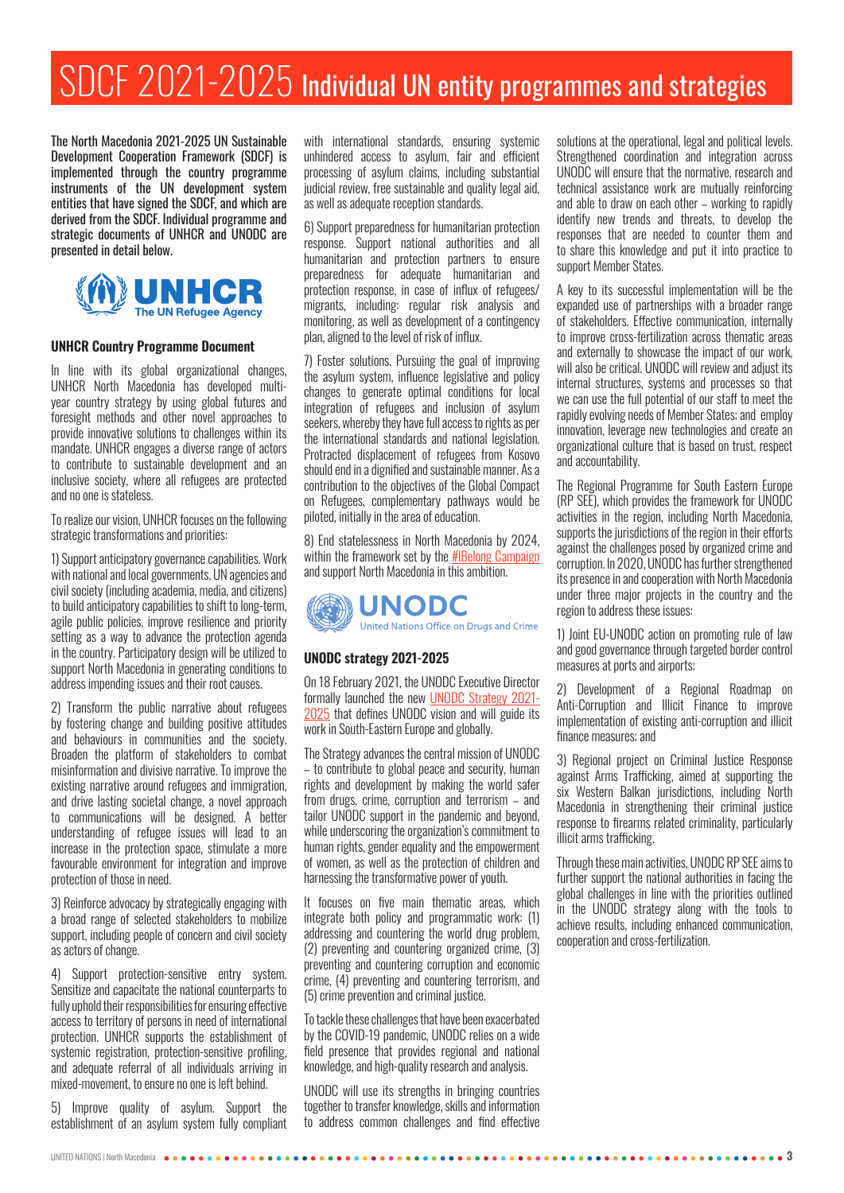## SDCF 2021-2025 Individual UN entity programmes and strategies

The North Macedonia 2021-2025 UN Sustainable Development Cooperation Framework (SDCF) is implemented through the country programme instruments of the UN development system entities that have signed the SDCF, and which are derived from the SDCF. Individual programme and strategic documents of UNHCR and UNODC are presented in detail below.



#### **UNHCR Country Programme Document**

In line with its global organizational changes, UNHCR North Macedonia has developed multiyear country strategy by using global futures and foresight methods and other novel approaches to provide innovative solutions to challenges within its mandate. UNHCR engages a diverse range of actors to contribute to sustainable development and an inclusive society, where all refugees are protected and no one is stateless.

To realize our vision, UNHCR focuses on the following strategic transformations and priorities:

1) Support anticipatory governance capabilities. Work with national and local governments, UN agencies and civil society (including academia, media, and citizens) to build anticipatory capabilities to shift to long-term, agile public policies, improve resilience and priority setting as a way to advance the protection agenda in the country. Participatory design will be utilized to support North Macedonia in generating conditions to address impending issues and their root causes.

2) Transform the public narrative about refugees by fostering change and building positive attitudes and behaviours in communities and the society. Broaden the platform of stakeholders to combat misinformation and divisive narrative. To improve the existing narrative around refugees and immigration, and drive lasting societal change, a novel approach to communications will be designed. A better understanding of refugee issues will lead to an increase in the protection space, stimulate a more favourable environment for integration and improve protection of those in need.

3) Reinforce advocacy by strategically engaging with a broad range of selected stakeholders to mobilize support, including people of concern and civil society as actors of change.

4) Support protection-sensitive entry system. Sensitize and capacitate the national counterparts to fully uphold their responsibilities for ensuring effective access to territory of persons in need of international protection. UNHCR supports the establishment of systemic registration, protection-sensitive profiling, and adequate referral of all individuals arriving in mixed-movement, to ensure no one is left behind.

5) Improve quality of asylum. Support the establishment of an asylum system fully compliant

with international standards, ensuring systemic unhindered access to asylum, fair and efficient processing of asylum claims, including substantial judicial review, free sustainable and quality legal aid, as well as adequate reception standards.

6) Support preparedness for humanitarian protection response. Support national authorities and all humanitarian and protection partners to ensure preparedness for adequate humanitarian and protection response, in case of influx of refugees/ migrants, including: regular risk analysis and monitoring, as well as development of a contingency plan, aligned to the level of risk of influx.

7) Foster solutions. Pursuing the goal of improving the asylum system, influence legislative and policy changes to generate optimal conditions for local integration of refugees and inclusion of asylum seekers, whereby they have full access to rights as per the international standards and national legislation. Protracted displacement of refugees from Kosovo should end in a dignified and sustainable manner. As a contribution to the objectives of the Global Compact on Refugees, complementary pathways would be piloted, initially in the area of education.

8) End statelessness in North Macedonia by 2024, within the framework set by the **[#IBelong Campaign](https://eur02.safelinks.protection.outlook.com/?url=https%3A%2F%2Fwww.unhcr.org%2Fibelong%2F&data=04%7C01%7CBRASHNAR%40unhcr.org%7C9ea9f97f206d4e31508608d8bc8828c3%7Ce5c37981666441348a0c6543d2af80be%7C0%7C0%7C637466640288078037%7CUnknown%7CTWFpbGZsb3d8eyJWIjoiMC4wLjAwMDAiLCJQIjoiV2luMzIiLCJBTiI6Ik1haWwiLCJXVCI6Mn0%3D%7C1000&sdata=L7NLaIXmRdeghRP%2FtiVsHacaMWPrev2y66%2FM7dmgTDU%3D&reserved=0)** and support North Macedonia in this ambition.



#### **UNODC strategy 2021-2025**

On 18 February 2021, the UNODC Executive Director formally launched the new [UNODC Strategy 2021-](https://www.unodc.org/unodc/en/strategy/index.html) [2025](https://www.unodc.org/unodc/en/strategy/index.html) that defines UNODC vision and will guide its work in South-Eastern Europe and globally.

The Strategy advances the central mission of UNODC – to contribute to global peace and security, human rights and development by making the world safer from drugs, crime, corruption and terrorism – and tailor UNODC support in the pandemic and beyond, while underscoring the organization's commitment to human rights, gender equality and the empowerment of women, as well as the protection of children and harnessing the transformative power of youth.

It focuses on five main thematic areas, which integrate both policy and programmatic work: (1) addressing and countering the world drug problem, (2) preventing and countering organized crime, (3) preventing and countering corruption and economic crime, (4) preventing and countering terrorism, and (5) crime prevention and criminal justice.

To tackle these challenges that have been exacerbated by the COVID-19 pandemic, UNODC relies on a wide field presence that provides regional and national knowledge, and high-quality research and analysis.

UNODC will use its strengths in bringing countries together to transfer knowledge, skills and information to address common challenges and find effective solutions at the operational, legal and political levels. Strengthened coordination and integration across UNODC will ensure that the normative, research and technical assistance work are mutually reinforcing and able to draw on each other – working to rapidly identify new trends and threats, to develop the responses that are needed to counter them and to share this knowledge and put it into practice to support Member States.

A key to its successful implementation will be the expanded use of partnerships with a broader range of stakeholders. Effective communication, internally to improve cross-fertilization across thematic areas and externally to showcase the impact of our work, will also be critical. UNODC will review and adjust its internal structures, systems and processes so that we can use the full potential of our staff to meet the rapidly evolving needs of Member States; and employ innovation, leverage new technologies and create an organizational culture that is based on trust, respect and accountability.

The Regional Programme for South Eastern Europe (RP SEE), which provides the framework for UNODC activities in the region, including North Macedonia, supports the jurisdictions of the region in their efforts against the challenges posed by organized crime and corruption. In 2020, UNODC has further strengthened its presence in and cooperation with North Macedonia under three major projects in the country and the region to address these issues:

1) Joint EU-UNODC action on promoting rule of law and good governance through targeted border control measures at ports and airports;

2) Development of a Regional Roadmap on Anti-Corruption and Illicit Finance to improve implementation of existing anti-corruption and illicit finance measures; and

3) Regional project on Criminal Justice Response against Arms Trafficking, aimed at supporting the six Western Balkan jurisdictions, including North Macedonia in strengthening their criminal justice response to firearms related criminality, particularly illicit arms trafficking.

Through these main activities, UNODC RP SEE aims to further support the national authorities in facing the global challenges in line with the priorities outlined in the UNODC strategy along with the tools to achieve results, including enhanced communication, cooperation and cross-fertilization.